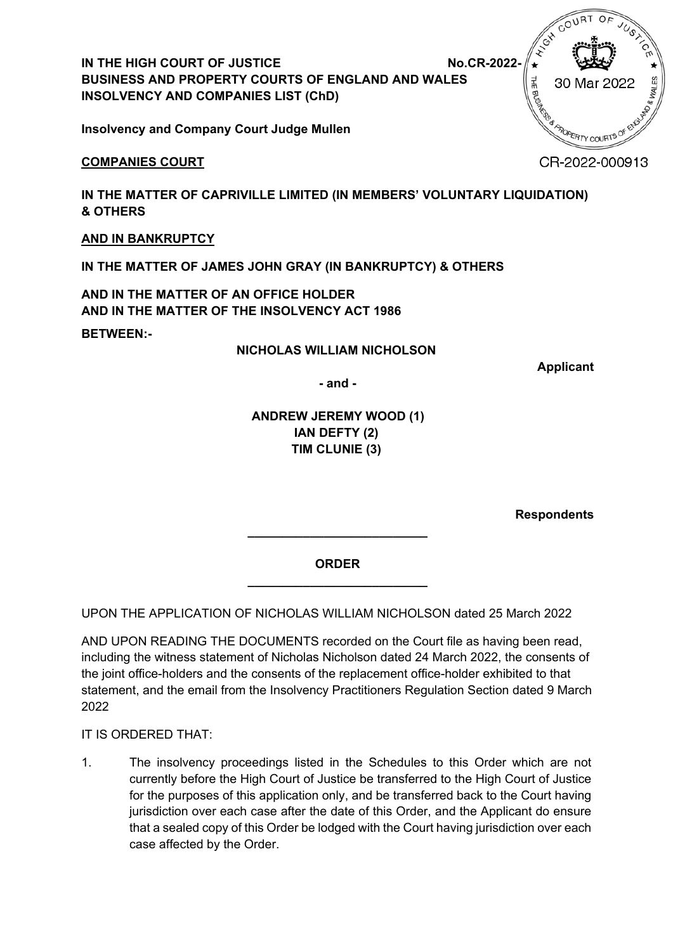**IN THE HIGH COURT OF JUSTICE NO.CR-2022-** No.CR-2022-**BUSINESS AND PROPERTY COURTS OF ENGLAND AND WALES INSOLVENCY AND COMPANIES LIST (ChD)**

**Insolvency and Company Court Judge Mullen**

## **COMPANIES COURT**

**IN THE MATTER OF CAPRIVILLE LIMITED (IN MEMBERS' VOLUNTARY LIQUIDATION) & OTHERS** 

## **AND IN BANKRUPTCY**

**IN THE MATTER OF JAMES JOHN GRAY (IN BANKRUPTCY) & OTHERS** 

**AND IN THE MATTER OF AN OFFICE HOLDER AND IN THE MATTER OF THE INSOLVENCY ACT 1986** 

**BETWEEN:-**

### **NICHOLAS WILLIAM NICHOLSON**

**Applicant** 

**- and -**

## **ANDREW JEREMY WOOD (1) IAN DEFTY (2) TIM CLUNIE (3)**

**Respondents**

**ORDER \_\_\_\_\_\_\_\_\_\_\_\_\_\_\_\_\_\_\_\_\_\_\_\_\_\_**

**\_\_\_\_\_\_\_\_\_\_\_\_\_\_\_\_\_\_\_\_\_\_\_\_\_\_**

UPON THE APPLICATION OF NICHOLAS WILLIAM NICHOLSON dated 25 March 2022

AND UPON READING THE DOCUMENTS recorded on the Court file as having been read, including the witness statement of Nicholas Nicholson dated 24 March 2022, the consents of the joint office-holders and the consents of the replacement office-holder exhibited to that statement, and the email from the Insolvency Practitioners Regulation Section dated 9 March 2022

IT IS ORDERED THAT:

1. The insolvency proceedings listed in the Schedules to this Order which are not currently before the High Court of Justice be transferred to the High Court of Justice for the purposes of this application only, and be transferred back to the Court having jurisdiction over each case after the date of this Order, and the Applicant do ensure that a sealed copy of this Order be lodged with the Court having jurisdiction over each case affected by the Order.

THE BUSINE 30 Mar 202 R<sup>R</sup>APOPERTY COURTS

CR-2022-000913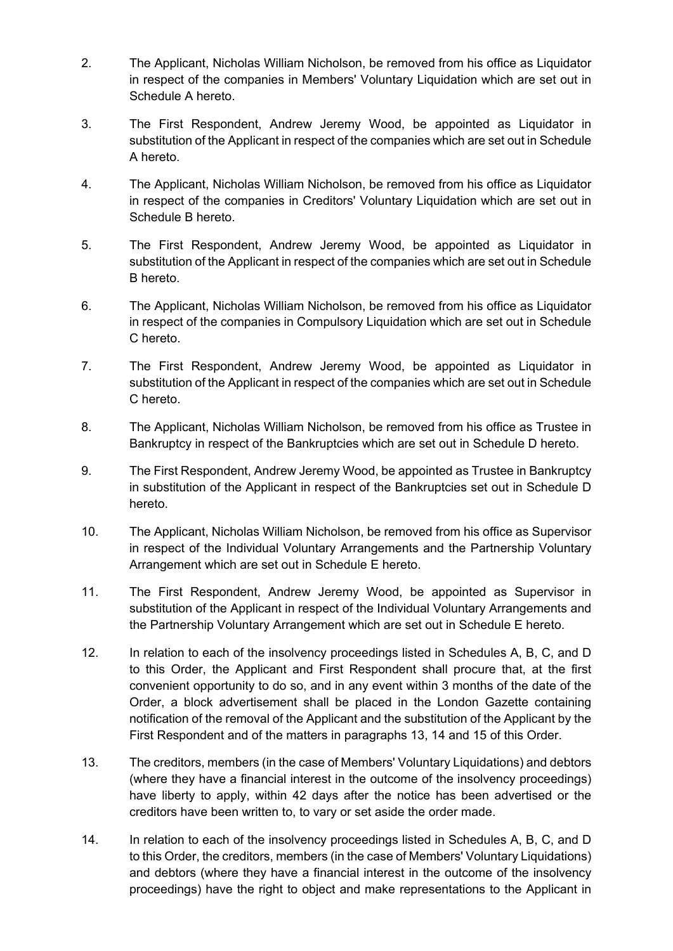- 2. The Applicant, Nicholas William Nicholson, be removed from his office as Liquidator in respect of the companies in Members' Voluntary Liquidation which are set out in Schedule A hereto.
- 3. The First Respondent, Andrew Jeremy Wood, be appointed as Liquidator in substitution of the Applicant in respect of the companies which are set out in Schedule A hereto.
- 4. The Applicant, Nicholas William Nicholson, be removed from his office as Liquidator in respect of the companies in Creditors' Voluntary Liquidation which are set out in Schedule B hereto.
- 5. The First Respondent, Andrew Jeremy Wood, be appointed as Liquidator in substitution of the Applicant in respect of the companies which are set out in Schedule B hereto.
- 6. The Applicant, Nicholas William Nicholson, be removed from his office as Liquidator in respect of the companies in Compulsory Liquidation which are set out in Schedule C hereto.
- 7. The First Respondent, Andrew Jeremy Wood, be appointed as Liquidator in substitution of the Applicant in respect of the companies which are set out in Schedule C hereto.
- 8. The Applicant, Nicholas William Nicholson, be removed from his office as Trustee in Bankruptcy in respect of the Bankruptcies which are set out in Schedule D hereto.
- 9. The First Respondent, Andrew Jeremy Wood, be appointed as Trustee in Bankruptcy in substitution of the Applicant in respect of the Bankruptcies set out in Schedule D hereto.
- 10. The Applicant, Nicholas William Nicholson, be removed from his office as Supervisor in respect of the Individual Voluntary Arrangements and the Partnership Voluntary Arrangement which are set out in Schedule E hereto.
- 11. The First Respondent, Andrew Jeremy Wood, be appointed as Supervisor in substitution of the Applicant in respect of the Individual Voluntary Arrangements and the Partnership Voluntary Arrangement which are set out in Schedule E hereto.
- 12. In relation to each of the insolvency proceedings listed in Schedules A, B, C, and D to this Order, the Applicant and First Respondent shall procure that, at the first convenient opportunity to do so, and in any event within 3 months of the date of the Order, a block advertisement shall be placed in the London Gazette containing notification of the removal of the Applicant and the substitution of the Applicant by the First Respondent and of the matters in paragraphs 13, 14 and 15 of this Order.
- 13. The creditors, members (in the case of Members' Voluntary Liquidations) and debtors (where they have a financial interest in the outcome of the insolvency proceedings) have liberty to apply, within 42 days after the notice has been advertised or the creditors have been written to, to vary or set aside the order made.
- 14. In relation to each of the insolvency proceedings listed in Schedules A, B, C, and D to this Order, the creditors, members (in the case of Members' Voluntary Liquidations) and debtors (where they have a financial interest in the outcome of the insolvency proceedings) have the right to object and make representations to the Applicant in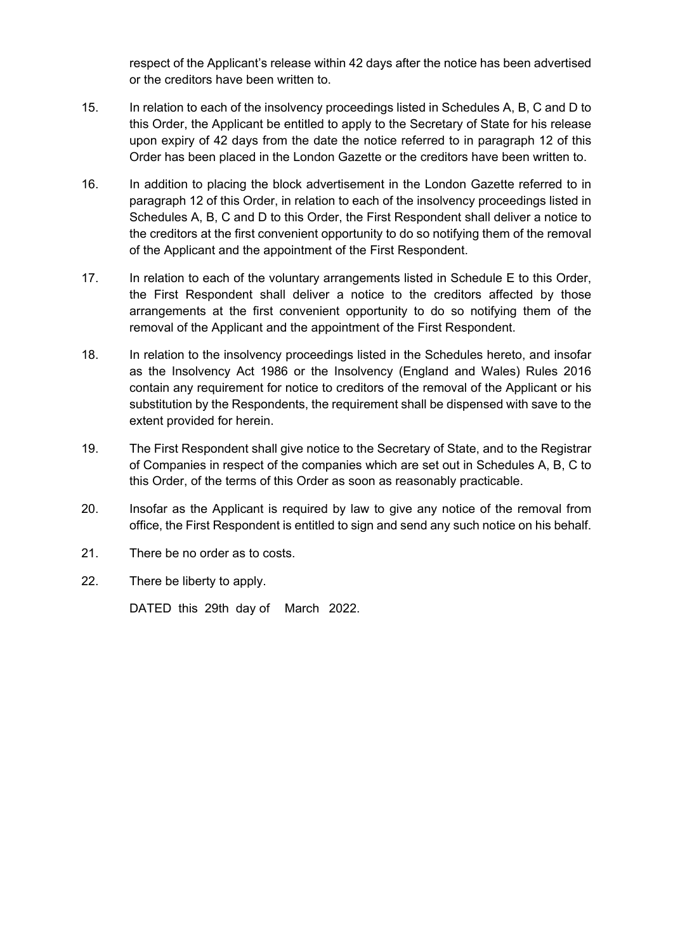respect of the Applicant's release within 42 days after the notice has been advertised or the creditors have been written to.

- 15. In relation to each of the insolvency proceedings listed in Schedules A, B, C and D to this Order, the Applicant be entitled to apply to the Secretary of State for his release upon expiry of 42 days from the date the notice referred to in paragraph 12 of this Order has been placed in the London Gazette or the creditors have been written to.
- 16. In addition to placing the block advertisement in the London Gazette referred to in paragraph 12 of this Order, in relation to each of the insolvency proceedings listed in Schedules A, B, C and D to this Order, the First Respondent shall deliver a notice to the creditors at the first convenient opportunity to do so notifying them of the removal of the Applicant and the appointment of the First Respondent.
- 17. In relation to each of the voluntary arrangements listed in Schedule E to this Order, the First Respondent shall deliver a notice to the creditors affected by those arrangements at the first convenient opportunity to do so notifying them of the removal of the Applicant and the appointment of the First Respondent.
- 18. In relation to the insolvency proceedings listed in the Schedules hereto, and insofar as the Insolvency Act 1986 or the Insolvency (England and Wales) Rules 2016 contain any requirement for notice to creditors of the removal of the Applicant or his substitution by the Respondents, the requirement shall be dispensed with save to the extent provided for herein.
- 19. The First Respondent shall give notice to the Secretary of State, and to the Registrar of Companies in respect of the companies which are set out in Schedules A, B, C to this Order, of the terms of this Order as soon as reasonably practicable.
- 20. Insofar as the Applicant is required by law to give any notice of the removal from office, the First Respondent is entitled to sign and send any such notice on his behalf.
- 21. There be no order as to costs.
- 22. There be liberty to apply.

DATED this 29th day of March 2022.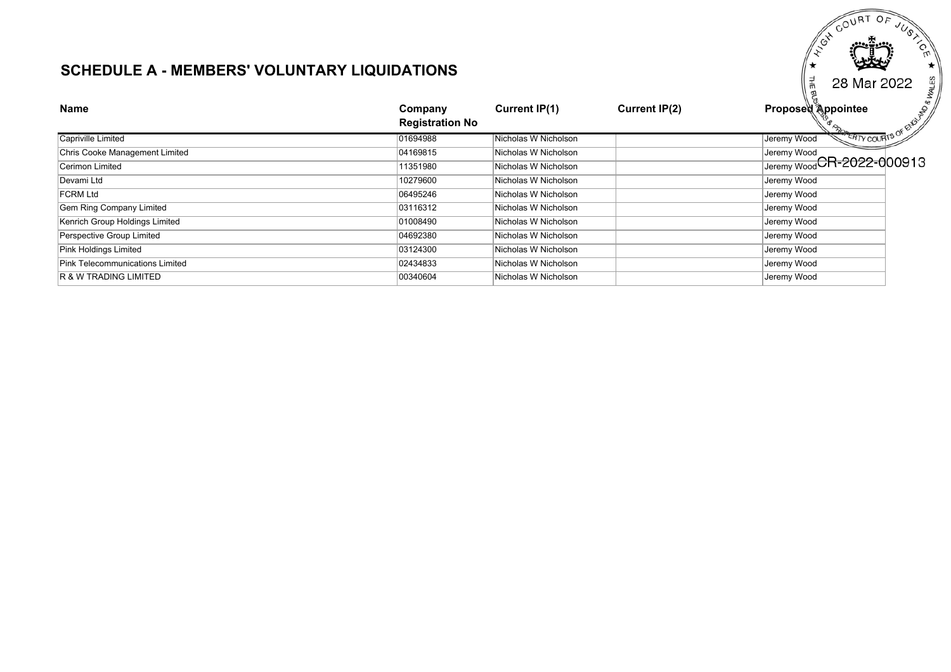# **SCHEDULE A - MEMBERS' VOLUNTARY LIQUIDATIONS**

| SUNEDULE A - MEMBERS VULUNTART LIQUIDATIUNS | 볶<br>69<br>28 Mar 2022            |                      |                      |                                           |
|---------------------------------------------|-----------------------------------|----------------------|----------------------|-------------------------------------------|
| <b>Name</b>                                 | Company<br><b>Registration No</b> | Current IP(1)        | <b>Current IP(2)</b> | Proposed Appointee<br><b>P</b>            |
| Capriville Limited                          | 01694988                          | Nicholas W Nicholson |                      | <b>ERTY COURTS</b><br>Jeremy Wood         |
| Chris Cooke Management Limited              | 04169815                          | Nicholas W Nicholson |                      | Jeremy Wood<br>Jeremy Wood CR-2022-000913 |
| Cerimon Limited                             | 11351980                          | Nicholas W Nicholson |                      |                                           |
| Devami Ltd                                  | 10279600                          | Nicholas W Nicholson |                      | Jeremy Wood                               |
| <b>FCRM Ltd</b>                             | 06495246                          | Nicholas W Nicholson |                      | Jeremy Wood                               |
| Gem Ring Company Limited                    | 03116312                          | Nicholas W Nicholson |                      | Jeremy Wood                               |
| Kenrich Group Holdings Limited              | 01008490                          | Nicholas W Nicholson |                      | Jeremy Wood                               |
| Perspective Group Limited                   | 04692380                          | Nicholas W Nicholson |                      | Jeremy Wood                               |
| Pink Holdings Limited                       | 03124300                          | Nicholas W Nicholson |                      | Jeremy Wood                               |
| Pink Telecommunications Limited             | 02434833                          | Nicholas W Nicholson |                      | Jeremy Wood                               |
| IR & W TRADING LIMITED                      | 00340604                          | Nicholas W Nicholson |                      | Jeremy Wood                               |

ES COURT OF

 $OE$ 

^  $\widetilde{\mathcal{S}}_{\mathbf{y}}$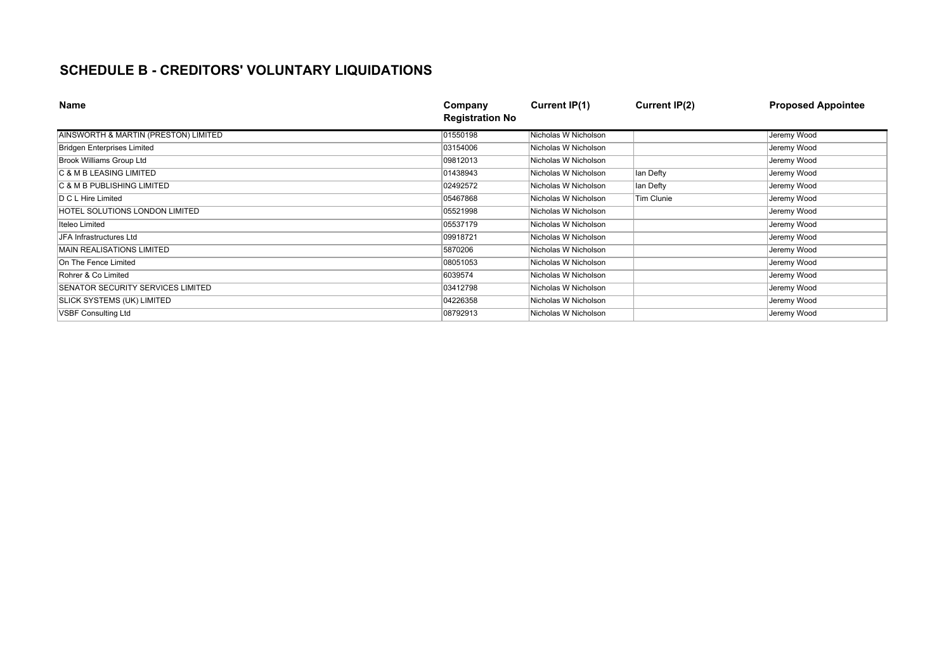# **SCHEDULE B - CREDITORS' VOLUNTARY LIQUIDATIONS**

| <b>Name</b>                          | Company<br><b>Registration No</b> | Current IP(1)        | <b>Current IP(2)</b> | <b>Proposed Appointee</b> |
|--------------------------------------|-----------------------------------|----------------------|----------------------|---------------------------|
| AINSWORTH & MARTIN (PRESTON) LIMITED | 01550198                          | Nicholas W Nicholson |                      | Jeremy Wood               |
| <b>Bridgen Enterprises Limited</b>   | 03154006                          | Nicholas W Nicholson |                      | Jeremy Wood               |
| Brook Williams Group Ltd             | 09812013                          | Nicholas W Nicholson |                      | Jeremy Wood               |
| <b>C &amp; M B LEASING LIMITED</b>   | 01438943                          | Nicholas W Nicholson | lan Defty            | Jeremy Wood               |
| C & M B PUBLISHING LIMITED           | 02492572                          | Nicholas W Nicholson | lan Defty            | Jeremy Wood               |
| D C L Hire Limited                   | 05467868                          | Nicholas W Nicholson | Tim Clunie           | Jeremy Wood               |
| HOTEL SOLUTIONS LONDON LIMITED       | 05521998                          | Nicholas W Nicholson |                      | Jeremy Wood               |
| Iteleo Limited                       | 05537179                          | Nicholas W Nicholson |                      | Jeremy Wood               |
| JFA Infrastructures Ltd              | 09918721                          | Nicholas W Nicholson |                      | Jeremy Wood               |
| <b>MAIN REALISATIONS LIMITED</b>     | 5870206                           | Nicholas W Nicholson |                      | Jeremy Wood               |
| On The Fence Limited                 | 08051053                          | Nicholas W Nicholson |                      | Jeremy Wood               |
| Rohrer & Co Limited                  | 6039574                           | Nicholas W Nicholson |                      | Jeremy Wood               |
| SENATOR SECURITY SERVICES LIMITED    | 03412798                          | Nicholas W Nicholson |                      | Jeremy Wood               |
| <b>SLICK SYSTEMS (UK) LIMITED</b>    | 04226358                          | Nicholas W Nicholson |                      | Jeremy Wood               |
| <b>VSBF Consulting Ltd</b>           | 08792913                          | Nicholas W Nicholson |                      | Jeremy Wood               |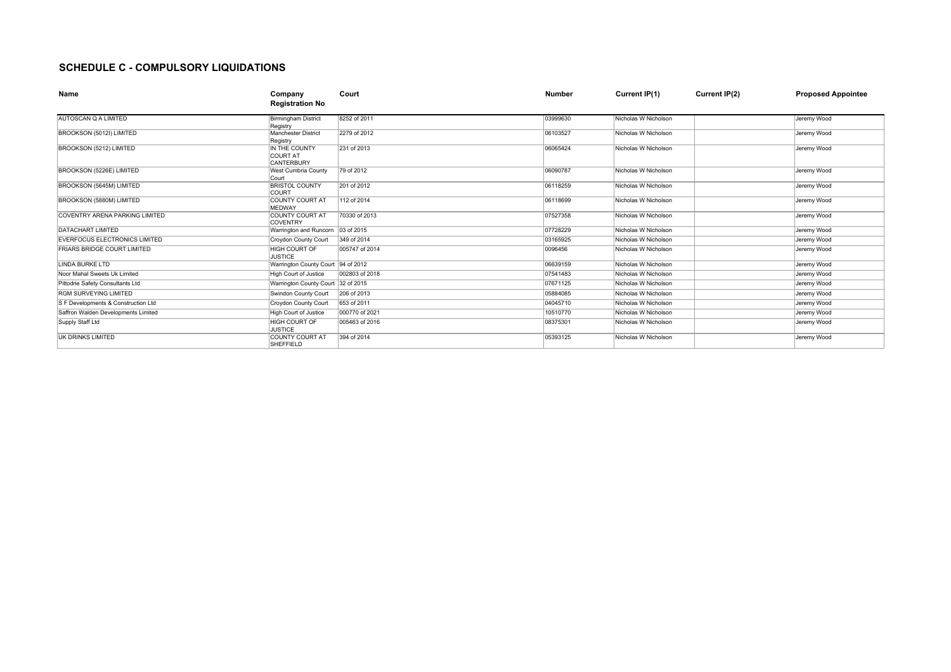#### **SCHEDULE C - COMPULSORY LIQUIDATIONS**

| Name                                  | Company<br><b>Registration No</b>              | Court          | <b>Number</b> | Current IP(1)        | Current IP(2) | <b>Proposed Appointee</b> |
|---------------------------------------|------------------------------------------------|----------------|---------------|----------------------|---------------|---------------------------|
| <b>AUTOSCAN Q A LIMITED</b>           | <b>Birmingham District</b><br>Registry         | 8252 of 2011   | 03999630      | Nicholas W Nicholson |               | Jeremy Wood               |
| BROOKSON (5012I) LIMITED              | <b>Manchester District</b><br>Registry         | 2279 of 2012   | 06103527      | Nicholas W Nicholson |               | Jeremy Wood               |
| BROOKSON (5212) LIMITED               | IN THE COUNTY<br><b>COURT AT</b><br>CANTERBURY | 231 of 2013    | 06065424      | Nicholas W Nicholson |               | Jeremy Wood               |
| BROOKSON (5226E) LIMITED              | West Cumbria County<br>Court                   | 79 of 2012     | 06090787      | Nicholas W Nicholson |               | Jeremy Wood               |
| BROOKSON (5645M) LIMITED              | <b>BRISTOL COUNTY</b><br>COURT                 | 201 of 2012    | 06118259      | Nicholas W Nicholson |               | Jeremy Wood               |
| BROOKSON (5880M) LIMITED              | <b>COUNTY COURT AT</b><br><b>MEDWAY</b>        | 112 of 2014    | 06118699      | Nicholas W Nicholson |               | Jeremy Wood               |
| <b>COVENTRY ARENA PARKING LIMITED</b> | COUNTY COURT AT<br>COVENTRY                    | 70330 of 2013  | 07527358      | Nicholas W Nicholson |               | Jeremy Wood               |
| <b>DATACHART LIMITED</b>              | Warrington and Runcorn                         | 03 of 2015     | 07728229      | Nicholas W Nicholson |               | Jeremy Wood               |
| <b>EVERFOCUS ELECTRONICS LIMITED</b>  | Croydon County Court                           | 349 of 2014    | 03165925      | Nicholas W Nicholson |               | Jeremy Wood               |
| <b>FRIARS BRIDGE COURT LIMITED</b>    | <b>HIGH COURT OF</b><br><b>JUSTICE</b>         | 005747 of 2014 | 0096456       | Nicholas W Nicholson |               | Jeremy Wood               |
| LINDA BURKE LTD                       | Warrington County Court 94 of 2012             |                | 06639159      | Nicholas W Nicholson |               | Jeremy Wood               |
| Noor Mahal Sweets Uk Limited          | <b>High Court of Justice</b>                   | 002803 of 2018 | 07541483      | Nicholas W Nicholson |               | Jeremy Wood               |
| Pittodrie Safety Consultants Ltd      | Warrington County Court 32 of 2015             |                | 07671125      | Nicholas W Nicholson |               | Jeremy Wood               |
| <b>RGM SURVEYING LIMITED</b>          | Swindon County Court                           | 206 of 2013    | 05884085      | Nicholas W Nicholson |               | Jeremy Wood               |
| S F Developments & Construction Ltd   | Croydon County Court                           | 653 of 2011    | 04045710      | Nicholas W Nicholson |               | Jeremy Wood               |
| Saffron Walden Developments Limited   | <b>High Court of Justice</b>                   | 000770 of 2021 | 10510770      | Nicholas W Nicholson |               | Jeremy Wood               |
| Supply Staff Ltd                      | <b>HIGH COURT OF</b><br><b>JUSTICE</b>         | 005463 of 2016 | 08375301      | Nicholas W Nicholson |               | Jeremy Wood               |
| UK DRINKS LIMITED                     | COUNTY COURT AT<br>SHEFFIELD                   | 394 of 2014    | 05393125      | Nicholas W Nicholson |               | Jeremy Wood               |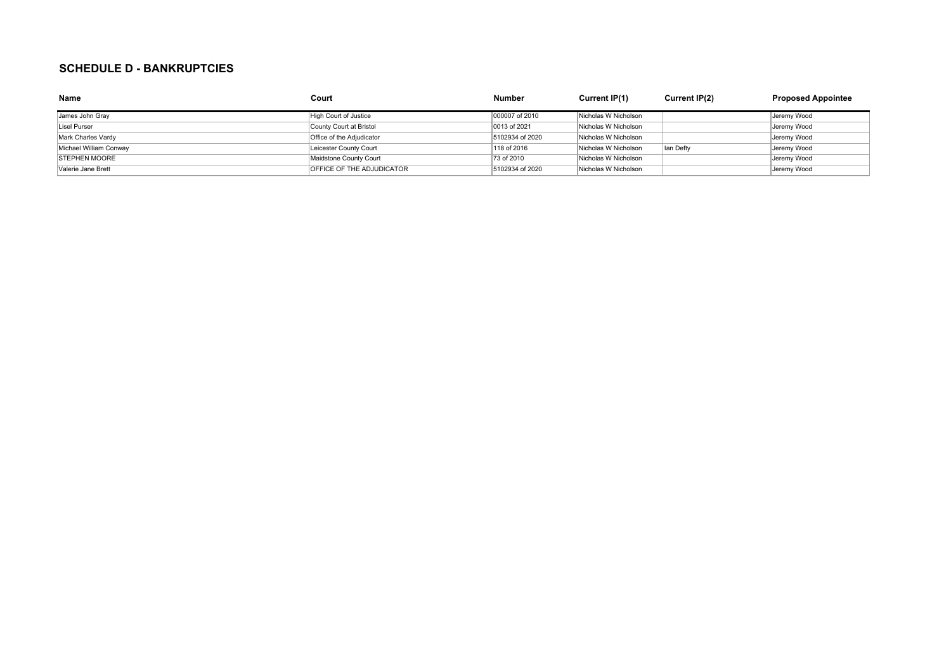#### **SCHEDULE D - BANKRUPTCIES**

| <b>Name</b>            | Court                            | <b>Number</b>   | Current IP(1)        | Current IP(2) | <b>Proposed Appointee</b> |
|------------------------|----------------------------------|-----------------|----------------------|---------------|---------------------------|
| James John Gray        | High Court of Justice            | 000007 of 2010  | Nicholas W Nicholson |               | Jeremy Wood               |
| Lisel Purser           | County Court at Bristol          | 0013 of 2021    | Nicholas W Nicholson |               | Jeremy Wood               |
| Mark Charles Vardy     | Office of the Adjudicator        | 5102934 of 2020 | Nicholas W Nicholson |               | Jeremy Wood               |
| Michael William Conway | Leicester County Court           | 118 of 2016     | Nicholas W Nicholson | Ian Defty     | Jeremy Wood               |
| <b>STEPHEN MOORE</b>   | Maidstone County Court           | 73 of 2010      | Nicholas W Nicholson |               | Jeremy Wood               |
| Valerie Jane Brett     | <b>OFFICE OF THE ADJUDICATOR</b> | 5102934 of 2020 | Nicholas W Nicholson |               | Jeremy Wood               |